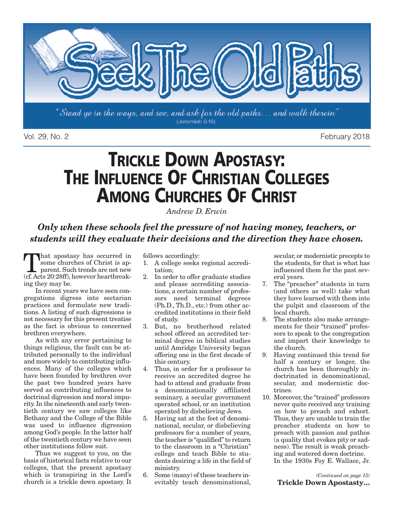

Vol. 29, No. 2 February 2018

## **TRICKLE DOWN APOSTASY: THE INFLUENCE OF CHRISTIAN COLLEGES AMONG CHURCHES OF CHRIST**

*Andrew D. Erwin*

*Only when these schools feel the pressure of not having money, teachers, or students will they evaluate their decisions and the direction they have chosen.*

That apostasy has occurred in some churches of Christ is apparent. Such trends are not new (cf.Acts 20:28ff), however heartbreaking they may be.

In recent years we have seen congregations digress into sectarian practices and formulate new traditions. A listing of such digressions is not necessary for this present treatise as the fact is obvious to concerned brethren everywhere.

As with any error pertaining to things religious, the fault can be attributed personally to the individual and more widely to contributing influences. Many of the colleges which have been founded by brethren over the past two hundred years have served as contributing influences to doctrinal digression and moral impurity. In the nineteenth and early twentieth century we saw colleges like Bethany and the College of the Bible was used to influence digression among God's people. In the latter half of the twentieth century we have seen other institutions follow suit.

Thus we suggest to you, on the basis of historical facts relative to our colleges, that the present apostasy which is transpiring in the Lord's church is a trickle down apostasy. It

follows accordingly:

- 1. A college seeks regional accreditation;
- 2. In order to offer graduate studies and please accrediting associations, a certain number of professors need terminal degrees (Ph.D., Th.D., etc.) from other accredited institutions in their field of study.
- 3. But, no brotherhood related school offered an accredited terminal degree in biblical studies until Amridge University began offering one in the first decade of this century.
- 4. Thus, in order for a professor to receive an accredited degree he had to attend and graduate from a denominationally affiliated seminary, a secular government operated school, or an institution operated by disbelieving Jews.
- 5. Having sat at the feet of denominational, secular, or disbelieving professors for a number of years, the teacher is "qualified"to return to the classroom in a "Christian" college and teach Bible to students desiring a life in the field of ministry.
- 6. Some (many) of these teachers inevitably teach denominational,

secular, or modernistic precepts to the students, for that is what has influenced them for the past several years.

- 7. The "preacher" students in turn (and others as well) take what they have learned with them into the pulpit and classroom of the local church.
- 8. The students also make arrangements for their "trained" professors to speak to the congregation and impart their knowledge to the church.
- 9. Having continued this trend for half a century or longer, the church has been thoroughly indoctrinated in denominational, secular, and modernistic doctrines.
- 10. Moreover, the "trained" professors never quite received any training on how to preach and exhort. Thus, they are unable to train the preacher students on how to preach with passion and pathos (a quality that evokes pity or sadness). The result is weak preaching and watered down doctrine. In the 1930s Foy E. Wallace, Jr.

*(Continued on page 15)* **Trickle Down Apostasty…**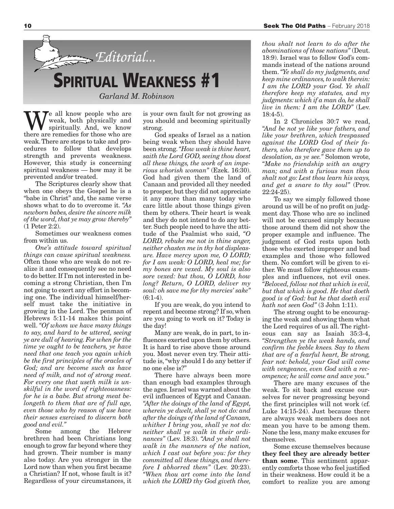

We all know people who are<br>spiritually. And, we know<br>there are remedies for those who are weak, both physically and there are remedies for those who are weak.There are steps to take and procedures to follow that develops strength and prevents weakness. However, this study is concerning spiritual weakness — how may it be prevented and/or treated.

The Scriptures clearly show that when one obeys the Gospel he is a "babe in Christ" and, the same verse shows what to do to overcome it. *"As newborn babes, desire the sincere milk*  $\int$ *of the word, that ye may grow thereby*" (1 Peter 2:2).

Sometimes our weakness comes from within us.

*One's attitude toward spiritual things can cause spiritual weakness.* Often those who are weak do not realize it and consequently see no need to do better. If I'm not interested in becoming a strong Christian, then I'm not going to exert any effort in becoming one. The individual himself/herself must take the initiative in growing in the Lord. The penman of Hebrews 5:11-14 makes this point well. *"Of whom we have many things to say, and hard to be uttered, seeing ye are dull of hearing. For when for the time ye ought to be teachers, ye have need that one teach you again which be the first principles of the oracles of God; and are become such as have need of milk, and not of strong meat. For every one that useth milk is unskilful in the word of righteousness: for he is a babe. But strong meat belongeth to them that are of full age, even those who by reason of use have their senses exercised to discern both good and evil."*

Some among the Hebrew brethren had been Christians long enough to grow far beyond where they had grown. Their number is many also today. Are you stronger in the Lord now than when you first became a Christian? If not, whose fault is it? Regardless of your circumstances, it is your own fault for not growing as you should and becoming spiritually strong.

God speaks of Israel as a nation being weak when they should have been strong.*"How weak is thine heart, saith the Lord GOD, seeing thou doest all these things, the work of an imperious whorish woman"* (Ezek. 16:30). God had given them the land of Canaan and provided all they needed to prosper, but they did not appreciate it any more than many today who care little about those things given them by others. Their heart is weak and they do not intend to do any better. Such people need to have the attitude of the Psalmist who said, *"O LORD, rebuke me not in thine anger, neither chasten me in thy hot displeasure. Have mercy upon me, O LORD; for I am weak: O LORD, heal me; for my bones are vexed. My soul is also sore vexed: but thou, O LORD, how long? Return, O LORD, deliver my soul: oh save me for thy mercies' sake"*  $(6:1-4)$ .

If you are weak, do you intend to repent and become strong? If so, when are you going to work on it? Today is the day!

Many are weak, do in part, to influences exerted upon them by others. It is hard to rise above those around you. Most never even try. Their attitude is,"why should I do any better if no one else is?"

There have always been more than enough bad examples through the ages. Israel was warned about the evil influences of Egypt and Canaan. *"After the doings of the land of Egypt, wherein ye dwelt, shall ye not do: and after the doings of the land of Canaan, whither I bring you, shall ye not do: neither shall ye walk in their ordinances"* (Lev. 18:3). *"And ye shall not walk in the manners of the nation, which I cast out before you: for they committed all these things, and therefore I abhorred them"* (Lev. 20:23). *"When thou art come into the land which the LORD thy God giveth thee,*

*thou shalt not learn to do after the abominations of those nations"* (Deut. 18:9). Israel was to follow God's commands instead of the nations around them.*"Ye shall do my judgments, and keep mine ordinances,to walk therein: I am the LORD your God. Ye shall therefore keep my statutes, and my judgments: which if a man do, he shall live in them: I am the LORD"* (Lev. 18:4-5).

In 2 Chronicles 30:7 we read, *"And be not ye like your fathers, and like your brethren, which trespassed against the LORD God of their fathers, who therefore gave them up to desolation, as ye see."* Solomon wrote, *"Make no friendship with an angry man; and with a furious man thou shalt not go: Lest thou learn his ways, and get a snare to thy soul"* (Prov. 22:24-25).

To say we simply followed those around us will be of no profit on judgment day. Those who are so inclined will not be excused simply because those around them did not show the proper example and influence. The judgment of God rests upon both those who exerted improper and bad examples and those who followed them. No comfort will be given to either. We must follow righteous examples and influences, not evil ones. *"Beloved, follow not that which is evil, but that which is good. He that doeth good is of God: but he that doeth evil hath not seen God"* (3 John 1:11).

The strong ought to be encouraging the weak and showing them what the Lord requires of us all. The righteous can say as Isaiah 35:3-4, *"Strengthen ye the weak hands, and confirm the feeble knees. Say to them that are of a fearful heart, Be strong, fear not: behold, your God will come with vengeance, even God with a recompence; he will come and save you."*

There are many excuses of the weak. To sit back and excuse ourselves for never progressing beyond the first principles will not work (cf. Luke 14:15-24). Just because there are always weak members does not mean you have to be among them. None the less, many make excuses for themselves.

Some excuse themselves because **they feel they are already better than some**. This sentiment apparently comforts those who feel justified in their weakness. How could it be a comfort to realize you are among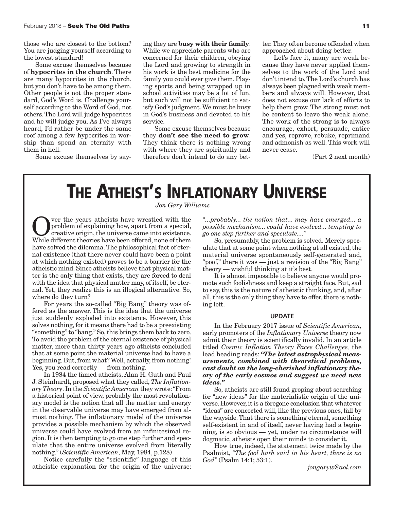those who are closest to the bottom? You are judging yourself according to the lowest standard!

Some excuse themselves because of **hypocrites in the church**. There are many hypocrites in the church, but you don't have to be among them. Other people is not the proper standard, God's Word is. Challenge yourself according to the Word of God, not others.The Lord will judge hypocrites and he will judge you. As I've always heard, I'd rather be under the same roof among a few hypocrites in worship than spend an eternity with them in hell.

Some excuse themselves by say-

ing they are **busy with their family**. While we appreciate parents who are concerned for their children, obeying the Lord and growing to strength in his work is the best medicine for the family you could ever give them. Playing sports and being wrapped up in school activities may be a lot of fun, but such will not be sufficient to satisfy God's judgment.We must be busy in God's business and devoted to his service.

Some excuse themselves because they **don't see the need to grow**. They think there is nothing wrong with where they are spiritually and therefore don't intend to do any better.They often become offended when approached about doing better.

Let's face it, many are weak because they have never applied themselves to the work of the Lord and don't intend to.The Lord's church has always been plagued with weak members and always will. However, that does not excuse our lack of efforts to help them grow. The strong must not be content to leave the weak alone. The work of the strong is to always encourage, exhort, persuade, entice and yes, reprove, rebuke, reprimand and admonish as well. This work will never cease.

(Part 2 next month)

### **THE ATHEIST'S INFLATIONARY UNIVERSE**

*Jon Gary Williams*

Over the years atheists have wrestled with the<br>problem of explaining how, apart from a special,<br>creative origin, the universe came into existence.<br>While different theories have been offered none of them problem of explaining how, apart from a special, creative origin, the universe came into existence. While different theories have been offered, none of them have solved the dilemma. The philosophical fact of eternal existence (that there never could have been a point at which nothing existed) proves to be a barrier for the atheistic mind. Since atheists believe that physical matter is the only thing that exists, they are forced to deal with the idea that physical matter may, of itself, be eternal. Yet, they realize this is an illogical alternative. So, where do they turn?

For years the so-called "Big Bang" theory was offered as the answer. This is the idea that the universe just suddenly exploded into existence. However, this solves nothing, for it means there had to be a preexisting "something" to "bang." So, this brings them back to zero. To avoid the problem of the eternal existence of physical matter, more than thirty years ago atheists concluded that at some point the material universe had to have a beginning. But, from what? Well, actually, from nothing! Yes, you read correctly — from nothing.

In 1984 the famed atheists, Alan H. Guth and Paul J. Steinhardt, proposed what they called, *The InflationaryTheory*. In the *Scientific American* they wrote:"From a historical point of view, probably the most revolutionary model is the notion that all the matter and energy in the observable universe may have emerged from almost nothing. The inflationary model of the universe provides a possible mechanism by which the observed universe could have evolved from an infinitesimal region. It is then tempting to go one step further and speculate that the entire universe evolved from literally nothing." (*Scientific American*, May, 1984, p.128)

Notice carefully the "scientific" language of this atheistic explanation for the origin of the universe:

*"...probably... the notion that... may have emerged... a possible mechanism... could have evolved... tempting to go one step further and speculate...."*

So, presumably, the problem is solved. Merely speculate that at some point when nothing at all existed, the material universe spontaneously self-generated and, "poof," there it was — just a revision of the "Big Bang" theory — wishful thinking at it's best.

It is almost impossible to believe anyone would promote such foolishness and keep a straight face. But, sad to say,this is the nature of atheistic thinking, and, after all, this is the only thing they have to offer, there is nothing left.

#### **UPDATE**

In the February 2017 issue of *Scientific American,* early promoters of the *Inflationary Universe* theory now admit their theory is scientifically invalid. In an article titled *Cosmic Inflation Theory Faces Challenges,* the lead heading reads: *"The latest astrophysical measurements, combined with theoretical problems, cast doubt on the long-cherished inflationary theory of the early cosmos and suggest we need new ideas."*

So, atheists are still found groping about searching for "new ideas" for the materialistic origin of the universe. However, it is a foregone conclusion that whatever "ideas" are concocted will, like the previous ones, fall by the wayside.That there is something eternal, something self-existent in and of itself, never having had a beginning, is so obvious — yet, under no circumstance will dogmatic, atheists open their minds to consider it.

How true, indeed, the statement twice made by the Psalmist, *"The fool hath said in his heart, there is no God"* (Psalm 14:1; 53:1).

*jongaryw@aol.com*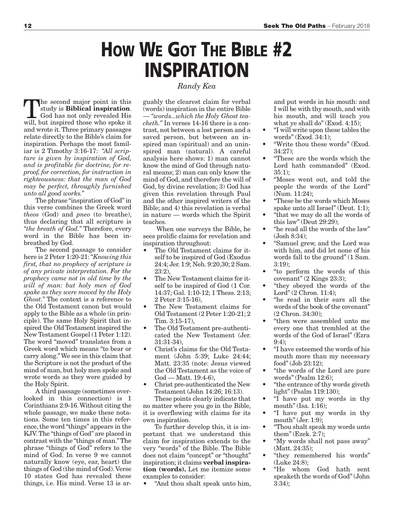## **HOW WE GOT THE BIBLE #2 INSPIRATION**

*Randy Kea*

the second major point in this study is **Biblical inspiration**. God has not only revealed His will, but inspired those who spoke it and wrote it.Three primary passages relate directly to the Bible's claim for inspiration. Perhaps the most familiar is 2 Timothy 3:16-17: *"All scripture is given by inspiration of God, and is profitable for doctrine, for reproof, for correction, for instruction in righteousness: that the man of God may be perfect, throughly furnished unto all good works."*

The phrase "inspiration of God"in this verse combines the Greek word *theos* (God) and *pneo* (to breathe), thus declaring that all scripture is *"the breath of God."* Therefore, every word in the Bible has been inbreathed by God.

The second passage to consider here is 2 Peter 1:20-21:*"Knowing this first, that no prophecy of scripture is of any private interpretation. For the prophecy came not in old time by the will of man: but holy men of God spake as they were moved by the Holy Ghost."* The context is a reference to the Old Testament canon but would apply to the Bible as a whole (in principle). The same Holy Spirit that inspired the Old Testament inspired the New Testament Gospel (1 Peter 1:12). The word "moved" translates from a Greek word which means "to bear or carry along."We see in this claim that the Scripture is not the product of the mind of man, but holy men spoke and wrote words as they were guided by the Holy Spirit.

A third passage (sometimes overlooked in this connection) is 1 Corinthians 2:9-16.Without citing the whole passage, we make these notations. Some ten times in this reference, the word "things" appears in the KJV.The "things of God" are placed in contrast with the "things of man."The phrase "things of God" refers to the mind of God. In verse 9 we cannot naturally know (eye, ear, heart) the things of God (the mind of God).Verse 10 states God has revealed these things, i.e. His mind. Verse 13 is arguably the clearest claim for verbal (words) inspiration in the entire Bible — *"words...which the Holy Ghost teacheth."* In verses 14-16 there is a contrast, not between a lost person and a saved person, but between an inspired man (spiritual) and an uninspired man (natural). A careful analysis here shows: 1) man cannot know the mind of God through natural means; 2) man can only know the mind of God, and therefore the will of God, by divine revelation; 3) God has given this revelation through Paul and the other inspired writers of the Bible; and 4) this revelation is verbal in nature — words which the Spirit teaches.

When one surveys the Bible, he sees prolific claims for revelation and inspiration throughout:

- The Old Testament claims for itself to be inspired of God (Exodus 24:4; Jer. 1:9; Neh. 9:20,30; 2 Sam. 23:2),
- The New Testament claims for itself to be inspired of God (1 Cor. 14:37; Gal. 1:10-12; 1 Thess. 2:13; 2 Peter 3:15-16),
- The New Testament claims for Old Testament (2 Peter 1:20-21; 2 Tim. 3:15-17),
- The Old Testament pre-authenticated the New Testament (Jer. 31:31-34),
- Christ's claims for the Old Testament (John 5:39; Luke 24:44; Matt. 23:35 (note: Jesus viewed the Old Testament as the voice of God — Matt. 19:4-6),
- Christ pre-authenticated the New Testament (John 14:26; 16:13).

These points clearly indicate that no matter where you go in the Bible, it is overflowing with claims for its own inspiration.

To further develop this, it is important that we understand this claim for inspiration extends to the very "words" of the Bible. The Bible does not claim "concept" or "thought" inspiration; it claims **verbal inspiration (words).** Let me itemize some examples to consider:

• "And thou shalt speak unto him,

and put words in his mouth: and I will be with thy mouth, and with his mouth, and will teach you what ye shall do" (Exod. 4:15);

- "I will write upon these tables the words" (Exod. 34:1);
- "Write thou these words" (Exod. 34:27);
- "These are the words which the Lord hath commanded" (Exod.  $35:1$ :
- "Moses went out, and told the people the words of the Lord" (Num. 11:24);
- "These be the words which Moses spake unto all Israel" (Deut. 1:1);
- "that we may do all the words of this law" (Deut 29:29);
- "he read all the words of the law" (Josh 8:34);
- "Samuel grew, and the Lord was with him, and did let none of his words fall to the ground" (1 Sam. 3:19);
- "to perform the words of this covenant" (2 Kings 23:3);
- "they obeyed the words of the Lord" (2 Chron. 11:4);
- "he read in their ears all the words of the book of the covenant" (2 Chron. 34:30);
- "then were assembled unto me every one that trembled at the words of the God of Israel" (Ezra 9:4);
- "I have esteemed the words of his mouth more than my necessary food" (Job 23:12);
- "the words of the Lord are pure words" (Psalm 12:6);
- "the entrance of thy words giveth light" (Psalm 119:130);
- "I have put my words in thy mouth" (Isa. 1:16);
- "I have put my words in thy mouth" (Jer. 1:9);
- "Thou shalt speak my words unto them" (Ezek. 2:7);
- "My words shall not pass away" (Matt. 24:35);
- "they remembered his words" (Luke 24:8);
- "He whom God hath sent speaketh the words of God"(John 3:34);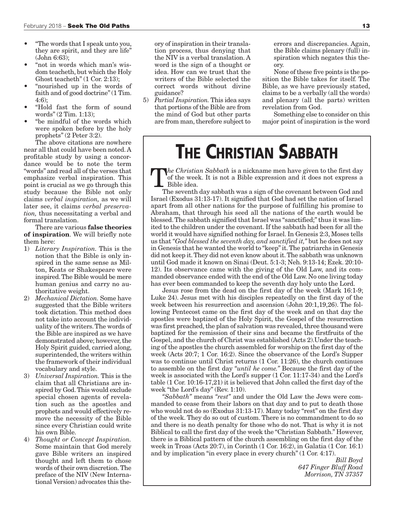- "The words that I speak unto you, they are spirit, and they are life" (John 6:63);
- "not in words which man's wisdom teacheth, but which the Holy Ghost teacheth" (1 Cor. 2:13);
- "nourished up in the words of faith and of good doctrine"(1 Tim. 4:6);
- "Hold fast the form of sound words" (2 Tim. 1:13);
- "be mindful of the words which were spoken before by the holy prophets" (2 Peter 3:2).

The above citations are nowhere near all that could have been noted.A profitable study by using a concordance would be to note the term "words" and read all of the verses that emphasize verbal inspiration. This point is crucial as we go through this study because the Bible not only claims *verbal inspiration,* as we will later see, it claims *verbal preservation,* thus necessitating a verbal and formal translation.

There are various **false theories of inspiration**. We will briefly note them here:

- 1) *Literary Inspiration.* This is the notion that the Bible is only inspired in the same sense as Milton, Keats or Shakespeare were inspired.The Bible would be mere human genius and carry no authoritative weight.
- 2) *Mechanical Dictation.* Some have suggested that the Bible writers took dictation. This method does not take into account the individuality of the writers.The words of the Bible are inspired as we have demonstrated above; however, the Holy Spirit guided, carried along, superintended, the writers within the framework of their individual vocabulary and style.
- 3) *Universal Inspiration.* This is the claim that all Christians are inspired by God.This would exclude special chosen agents of revelation such as the apostles and prophets and would effectively remove the necessity of the Bible since every Christian could write his own Bible.
- 4) *Thought or Concept Inspiration.* Some maintain that God merely gave Bible writers an inspired thought and left them to chose words of their own discretion.The preface of the NIV (New International Version) advocates this the-

ory of inspiration in their translation process, thus denying that the NIV is a verbal translation. A word is the sign of a thought or idea. How can we trust that the writers of the Bible selected the correct words without divine guidance?

5) *Partial Inspiration.* This idea says that portions of the Bible are from the mind of God but other parts are from man, therefore subject to

errors and discrepancies. Again, the Bible claims plenary (full) inspiration which negates this theory.

None of these five points is the position the Bible takes for itself. The Bible, as we have previously stated, claims to be a verbally (all the words) and plenary (all the parts) written revelation from God.

Something else to consider on this major point of inspiration is the word

#### **THE CHRISTIAN SABBATH**

T*he Christian Sabbath* is <sup>a</sup> nickname men have given to the first day of the week. It is not a Bible expression and it does not express a Bible idea.

The seventh day sabbath was a sign of the covenant between God and Israel (Exodus 31:13-17). It signified that God had set the nation of Israel apart from all other nations for the purpose of fulfilling his promise to Abraham, that through his seed all the nations of the earth would be blessed.The sabbath signified that Israel was "sanctified;"thus it was limited to the children under the covenant. If the sabbath had been for all the world it would have signified nothing for Israel. In Genesis 2:3, Moses tells us that *"God blessed the seventh day, and sanctified it,"* but he does not say in Genesis that he wanted the world to "keep"it.The patriarchs in Genesis did not keep it.They did not even know about it.The sabbath was unknown until God made it known on Sinai (Deut. 5:1-3; Neh. 9:13-14; Ezek. 20:10- 12). Its observance came with the giving of the Old Law, and its commanded observance ended with the end of the Old Law. No one living today has ever been commanded to keep the seventh day holy unto the Lord.

Jesus rose from the dead on the first day of the week (Mark 16:1-9; Luke 24). Jesus met with his disciples repeatedly on the first day of the week between his resurrection and ascension (John 20:1,19,26). The following Pentecost came on the first day of the week and on that day the apostles were baptized of the Holy Spirit, the Gospel of the resurrection was first preached, the plan of salvation was revealed, three thousand were baptized for the remission of their sins and became the firstfruits of the Gospel, and the church of Christ was established (Acts 2).Under the teaching of the apostles the church assembled for worship on the first day of the week (Acts 20:7; 1 Cor. 16:2). Since the observance of the Lord's Supper was to continue until Christ returns (1 Cor. 11:26), the church continues to assemble on the first day *"until he come."* Because the first day of the week is associated with the Lord's supper (1 Cor. 11:17-34) and the Lord's table (1 Cor. 10:16-17,21) it is believed that John called the first day of the week "the Lord's day" (Rev. 1:10).

*"Sabbath"* means *"rest"* and under the Old Law the Jews were commanded to cease from their labors on that day and to put to death those who would not do so (Exodus 31:13-17). Many today "rest" on the first day of the week. They do so out of custom. There is no commandment to do so and there is no death penalty for those who do not. That is why it is not Biblical to call the first day of the week the "Christian Sabbath." However, there is a Biblical pattern of the church assembling on the first day of the week in Troas (Acts 20:7), in Corinth (1 Cor. 16:2), in Galatia (1 Cor. 16:1) and by implication "in every place in every church" (1 Cor. 4:17).

*Bill Boyd 647 Finger Bluff Road Morrison, TN 37357*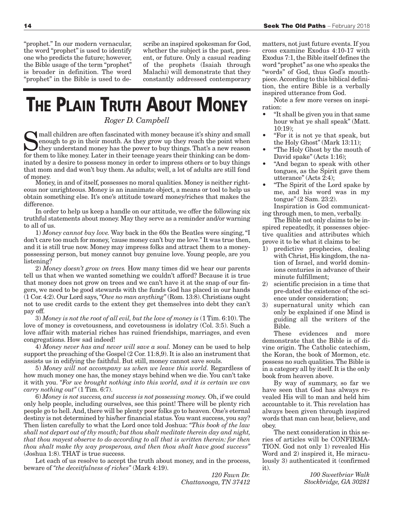"prophet." In our modern vernacular, the word "prophet" is used to identify one who predicts the future; however, the Bible usage of the term "prophet" is broader in definition. The word "prophet" in the Bible is used to describe an inspired spokesman for God, whether the subject is the past, present, or future. Only a casual reading of the prophets (Isaiah through Malachi) will demonstrate that they constantly addressed contemporary

# **THE PLAIN TRUTH ABOUT MONEY**

*Roger D. Campbell*

If mall children are often fascinated with money because it's shiny and small enough to go in their mouth. As they grow up they reach the point when I they understand money has the power to buy things. That's a new reason for them to like money. Later in their teenage years their thinking can be dominated by a desire to possess money in order to impress others or to buy things that mom and dad won't buy them. As adults; well, a lot of adults are still fond of money. Money, in and of itself, possesses no moral qualities. Money is neither right-

eous nor unrighteous. Money is an inanimate object, a means or tool to help us obtain something else. It's one's attitude toward money/riches that makes the difference.

In order to help us keep a handle on our attitude, we offer the following six truthful statements about money. May they serve as a reminder and/or warning to all of us.

1) *Money cannot buy love.* Way back in the 60s the Beatles were singing,"I don't care too much for money, 'cause money can't buy me love." It was true then, and it is still true now. Money may impress folks and attract them to a moneypossessing person, but money cannot buy genuine love. Young people, are you listening?

2) *Money doesn't grow on trees.* How many times did we hear our parents tell us that when we wanted something we couldn't afford? Because it is true that money does not grow on trees and we can't have it at the snap of our fingers, we need to be good stewards with the funds God has placed in our hands (1 Cor. 4:2). Our Lord says,*"Owe no man anything"* (Rom. 13:8). Christians ought not to use credit cards to the extent they get themselves into debt they can't pay off.

3) *Money is not the root of all evil, but the love of money is* (1 Tim. 6:10).The love of money is covetousness, and covetousness is idolatry (Col. 3:5). Such a love affair with material riches has ruined friendships, marriages, and even congregations. How sad indeed!

4) *Money never has and never will save a soul.* Money can be used to help support the preaching of the Gospel (2 Cor. 11:8,9). It is also an instrument that assists us in edifying the faithful. But still, money cannot save souls.

5) *Money will not accompany us when we leave this world.* Regardless of how much money one has, the money stays behind when we die. You can't take it with you. *"For we brought nothing into this world, and it is certain we can carry nothing out"* (1 Tim. 6:7).

6) *Money is not success, and success is not possessing money.* Oh, if we could only help people, including ourselves, see this point! There will be plenty rich people go to hell. And, there will be plenty poor folks go to heaven. One's eternal destiny is not determined by his/her financial status.You want success, you say? Then listen carefully to what the Lord once told Joshua: *"This book of the law shall not depart out of thy mouth; but thou shalt meditate therein day and night, that thou mayest observe to do according to all that is written therein: for then thou shalt make thy way prosperous, and then thou shalt have good success"* (Joshua 1:8). THAT is true success.

Let each of us resolve to accept the truth about money, and in the process, beware of *"the deceitfulness of riches"* (Mark 4:19).

> *120 Fawn Dr. Chattanooga, TN 37412*

matters, not just future events. If you cross examine Exodus 4:10-17 with Exodus 7:1, the Bible itself defines the word "prophet" as one who speaks the "words" of God, thus God's mouthpiece.According to this biblical definition, the entire Bible is a verbally inspired utterance from God.

Note a few more verses on inspiration:

- "It shall be given you in that same hour what ye shall speak" (Matt. 10:19);
- "For it is not ye that speak, but the Holy Ghost" (Mark 13:11);
- "The Holy Ghost by the mouth of David spake" (Acts 1:16);
- "And began to speak with other tongues, as the Spirit gave them utterance" (Acts 2:4);
- "The Spirit of the Lord spake by me, and his word was in my tongue" (2 Sam. 23:2).

Inspiration is God communicating through men, to men, verbally.

The Bible not only claims to be inspired repeatedly, it possesses objective qualities and attributes which prove it to be what it claims to be:

- 1) predictive prophecies, dealing with Christ, His kingdom, the nation of Israel, and world dominions centuries in advance of their minute fulfillment;
- 2) scientific precision in a time that pre-dated the existence of the science under consideration;
- supernatural unity which can only be explained if one Mind is guiding all the writers of the Bible.

These evidences and more demonstrate that the Bible is of divine origin. The Catholic catechism, the Koran, the book of Mormon, etc. possess no such qualities.The Bible is in a category all by itself. It is the only book from heaven above.

By way of summary, so far we have seen that God has always revealed His will to man and held him accountable to it. This revelation has always been given through inspired words that man can hear, believe, and obey.

The next consideration in this series of articles will be CONFIRMA-TION. God not only 1) revealed His Word and 2) inspired it, He miraculously 3) authenticated it (confirmed it).

> *100 Sweetbriar Walk Stockbridge, GA 30281*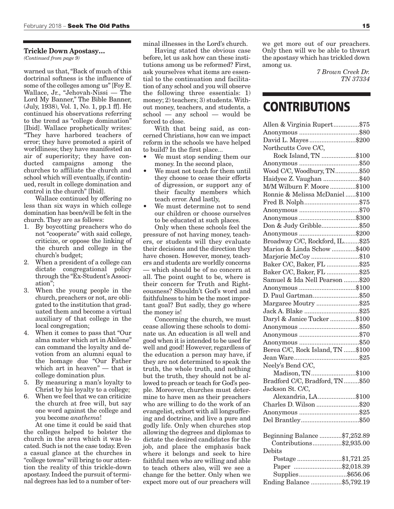#### **Trickle Down Apostasy…**

*(Continued from page 9)*

warned us that,"Back of much of this doctrinal softness is the influence of some of the colleges among us"[Foy E. Wallace, Jr., "Jehovah-Nissi — The Lord My Banner," The Bible Banner, (July, 1938), Vol. 1, No. 1, pp.1 ff]. He continued his observations referring to the trend as "college domination" [Ibid]. Wallace prophetically writes: "They have harbored teachers of error; they have promoted a spirit of worldliness; they have manifested an air of superiority; they have conducted campaigns among the churches to affiliate the church and school which will eventually, if continued, result in college domination and control in the church" [Ibid].

Wallace continued by offering no less than six ways in which college domination has been/will be felt in the church. They are as follows:

- 1. By boycotting preachers who do not "cooperate" with said college, criticize, or oppose the linking of the church and college in the church's budget;
- 2. When a president of a college can dictate congregational policy through the "Ex-Student's Association";
- 3. When the young people in the church, preachers or not, are obligated to the institution that graduated them and become a virtual auxiliary of that college in the local congregation;
- 4. When it comes to pass that "Our alma mater which art in Abilene" can command the loyalty and devotion from an alumni equal to the homage due "Our Father which art in heaven" — that is college domination plus.
- 5. By measuring a man's loyalty to Christ by his loyalty to a college;
- 6. When we feel that we can criticize the church at free will, but say one word against the college and you become *anathema*!

At one time it could be said that the colleges helped to bolster the church in the area which it was located. Such is not the case today. Even a casual glance at the churches in "college towns" will bring to our attention the reality of this trickle-down apostasy. Indeed the pursuit of terminal degrees has led to a number of terminal illnesses in the Lord's church.

Having stated the obvious case before, let us ask how can these institutions among us be reformed? First, ask yourselves what items are essential to the continuation and facilitation of any school and you will observe the following three essentials: 1) money; 2) teachers; 3) students. Without money, teachers, and students, a school — any school — would be forced to close.

With that being said, as concerned Christians, how can we impact reform in the schools we have helped to build? In the first place...

- We must stop sending them our money. In the second place,
- We must not teach for them until they choose to cease their efforts of digression, or support any of their faculty members which teach error. And lastly,
- We must determine not to send our children or choose ourselves to be educated at such places.

Only when these schools feel the pressure of not having money, teachers, or students will they evaluate their decisions and the direction they have chosen. However, money, teachers and students are worldly concerns which should be of no concern at all. The point ought to be, where is their concern for Truth and Righteousness? Shouldn't God's word and faithfulness to him be the most important goal? But sadly, they go where the money is!

Concerning the church, we must cease allowing these schools to dominate us. An education is all well and good when it is intended to be used for well and good! However, regardless of the education a person may have, if they are not determined to speak the truth, the whole truth, and nothing but the truth, they should not be allowed to preach or teach for God's people. Moreover, churches must determine to have men as their preachers who are willing to do the work of an evangelist, exhort with all longsuffering and doctrine, and live a pure and godly life. Only when churches stop allowing the degrees and diplomas to dictate the desired candidates for the job, and place the emphasis back where it belongs and seek to hire faithful men who are willing and able to teach others also, will we see a change for the better. Only when we expect more out of our preachers will

we get more out of our preachers. Only then will we be able to thwart the apostasy which has trickled down among us.

> *7 Brown Creek Dr. TN 37334*

#### **CONTRIBUTIONS**

| Allen & Virginia Rupert\$75      |  |
|----------------------------------|--|
|                                  |  |
| David L. Mayes \$200             |  |
| Northcutts Cove C/C,             |  |
| Rock Island, TN \$100            |  |
|                                  |  |
| Wood C/C, Woodbury, TN\$50       |  |
| Haidyee Z. Vaughan \$40          |  |
| M/M Wilburn F. Moore\$100        |  |
| Ronnie & Melissa McDaniel\$100   |  |
| Fred B. Nolph\$75                |  |
|                                  |  |
| Anonymous \$300                  |  |
| Don & Judy Gribble\$50           |  |
| Anonymous \$200                  |  |
| Broadway C/C, Rockford, IL \$25  |  |
| Marion & Linda Schow \$400       |  |
| Marjorie McCoy\$10               |  |
| Baker C/C, Baker, FL \$25        |  |
| Baker C/C, Baker, FL \$25        |  |
| Samuel & Ida Nell Pearson \$20   |  |
| Anonymous \$100                  |  |
| D. Paul Gartman\$50              |  |
|                                  |  |
| Margaree Moutry \$25             |  |
| Jack A. Blake \$25               |  |
| Daryl & Janice Tucker\$100       |  |
|                                  |  |
|                                  |  |
|                                  |  |
| Berea C/C, Rock Island, TN \$100 |  |
|                                  |  |
| Neely's Bend C/C,                |  |
| Madison, TN\$100                 |  |
| Bradford C/C, Bradford, TN\$50   |  |
| Jackson St. C/C,                 |  |
| Alexandria, LA\$100              |  |
| Charles D. Wilson \$20           |  |
|                                  |  |
|                                  |  |
| Beginning Balance \$7,252.89     |  |
| Contributions\$2,935.00          |  |
| Debits                           |  |
| Postage \$1,721.25               |  |
| Paper \$2,018.39                 |  |
| Supplies\$656.06                 |  |
| Ending Balance \$5,792.19        |  |
|                                  |  |